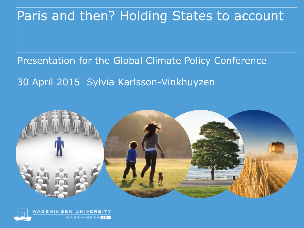#### Paris and then? Holding States to account

## Presentation for the Global Climate Policy Conference 30 April 2015 Sylvia Karlsson-Vinkhuyzen



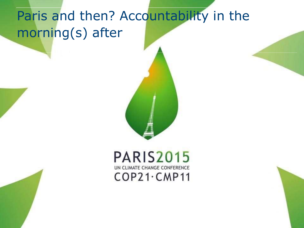## Paris and then? Accountability in the morning(s) after



#### **PARIS2015** UN CLIMATE CHANGE CONFERENCE  $COP21$ · CMP11

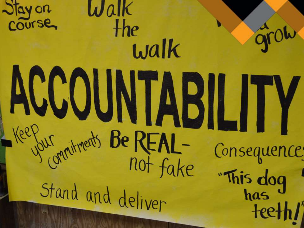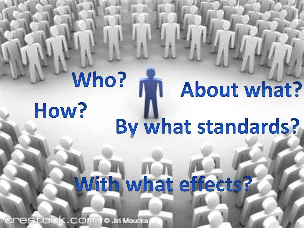## Who? About what? How? By what standards?

# With what effects?

**Inestock.comm @ Jiri Moucks**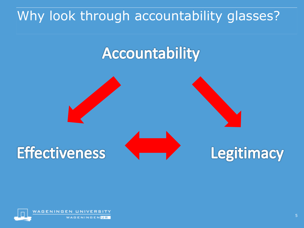## Why look through accountability glasses?

# Accountability



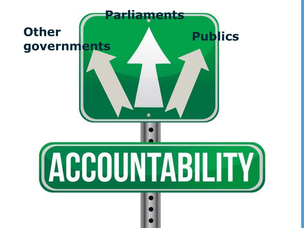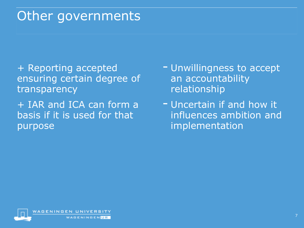#### Other governments

+ Reporting accepted ensuring certain degree of transparency

+ IAR and ICA can form a basis if it is used for that purpose

- Unwillingness to accept an accountability relationship
- Uncertain if and how it influences ambition and implementation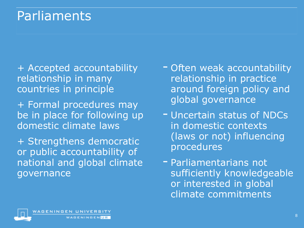### Parliaments

- + Accepted accountability relationship in many countries in principle
- + Formal procedures may be in place for following up domestic climate laws
- + Strengthens democratic or public accountability of national and global climate governance

WAGENINGEN**UR** 

- Often weak accountability relationship in practice around foreign policy and global governance
- Uncertain status of NDCs in domestic contexts (laws or not) influencing procedures
- Parliamentarians not sufficiently knowledgeable or interested in global climate commitments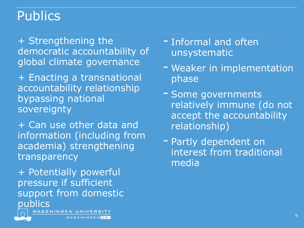#### Publics

+ Strengthening the democratic accountability of global climate governance

+ Enacting a transnational accountability relationship bypassing national sovereignty

+ Can use other data and information (including from academia) strengthening transparency

+ Potentially powerful pressure if sufficient support from domestic publics

GENINGEN UNIVERSITY

WAGENINGEN UR

- Informal and often unsystematic
- Weaker in implementation phase
- Some governments relatively immune (do not accept the accountability relationship)
- Partly dependent on interest from traditional media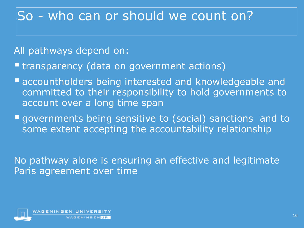#### So - who can or should we count on?

All pathways depend on:

**Extransparency (data on government actions)** 

- **Exercise 1 accountholders being interested and knowledgeable and** committed to their responsibility to hold governments to account over a long time span
- governments being sensitive to (social) sanctions and to some extent accepting the accountability relationship

No pathway alone is ensuring an effective and legitimate Paris agreement over time

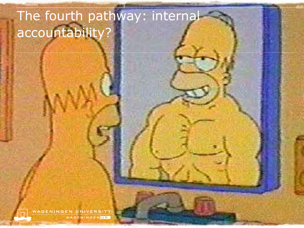## The fourth pathway: internal accountability?

WAGENINGEN UNIVERSITY WAGENINGENUR